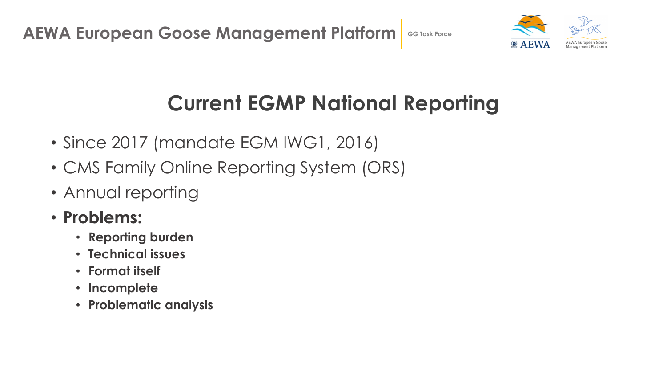

## **Current EGMP National Reporting**

- Since 2017 (mandate EGM IWG1, 2016)
- CMS Family Online Reporting System (ORS)
- Annual reporting
- **Problems:**
	- **Reporting burden**
	- **Technical issues**
	- **Format itself**
	- **Incomplete**
	- **Problematic analysis**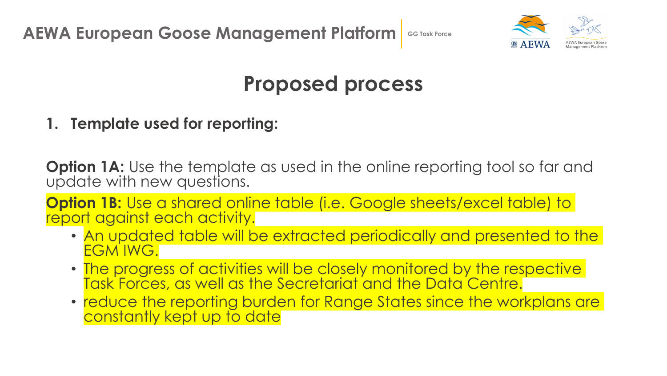

#### **Proposed process**

#### **1. Template used for reporting:**

**Option 1A:** Use the template as used in the online reporting tool so far and update with new questions.

**Option 1B:** Use a shared online table (i.e. Google sheets/excel table) to report against each activity.

- An updated table will be extracted periodically and presented to the EGM IWG.
- The progress of activities will be closely monitored by the respective Task Forces, as well as the Secretariat and the Data Centre.
- reduce the reporting burden for Range States since the workplans are constantly kept up to date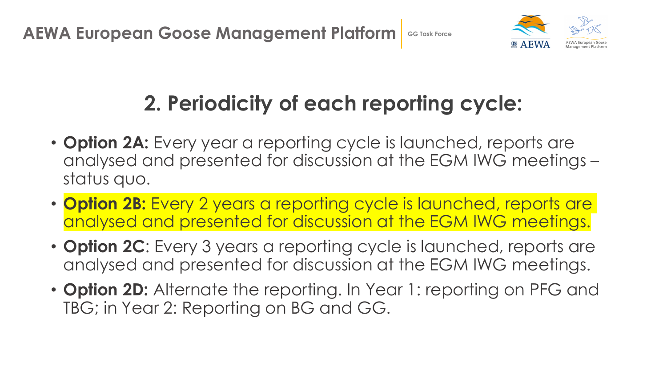

# **2. Periodicity of each reporting cycle:**

- **Option 2A:** Every year a reporting cycle is launched, reports are analysed and presented for discussion at the EGM IWG meetings – status quo.
- **Option 2B:** Every 2 years a reporting cycle is launched, reports are analysed and presented for discussion at the EGM IWG meetings.
- **Option 2C**: Every 3 years a reporting cycle is launched, reports are analysed and presented for discussion at the EGM IWG meetings.
- **Option 2D:** Alternate the reporting. In Year 1: reporting on PFG and TBG; in Year 2: Reporting on BG and GG.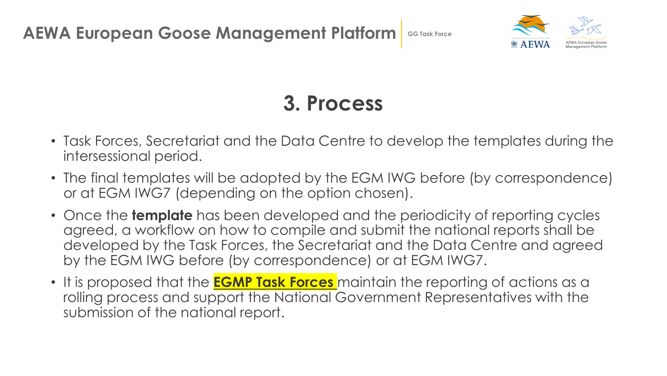

### **3. Process**

- Task Forces, Secretariat and the Data Centre to develop the templates during the intersessional period.
- The final templates will be adopted by the EGM IWG before (by correspondence) or at EGM IWG7 (depending on the option chosen).
- Once the **template** has been developed and the periodicity of reporting cycles agreed, a workflow on how to compile and submit the national reports shall be developed by the Task Forces, the Secretariat and the Data Centre and agreed by the EGM IWG before (by correspondence) or at EGM IWG7.
- It is proposed that the **EGMP Task Forces** maintain the reporting of actions as a rolling process and support the National Government Representatives with the submission of the national report.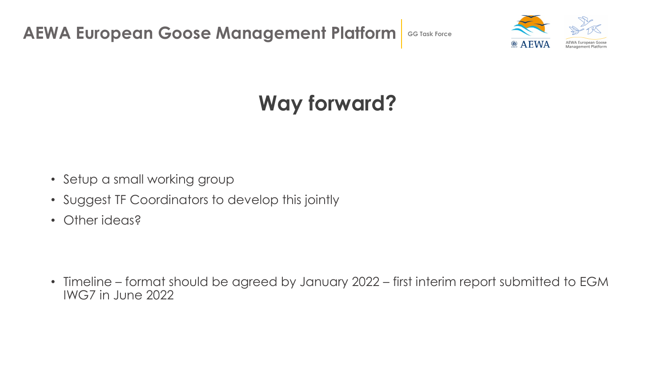

# **Way forward?**

- Setup a small working group
- Suggest TF Coordinators to develop this jointly
- Other ideas?

• Timeline – format should be agreed by January 2022 – first interim report submitted to EGM IWG7 in June 2022